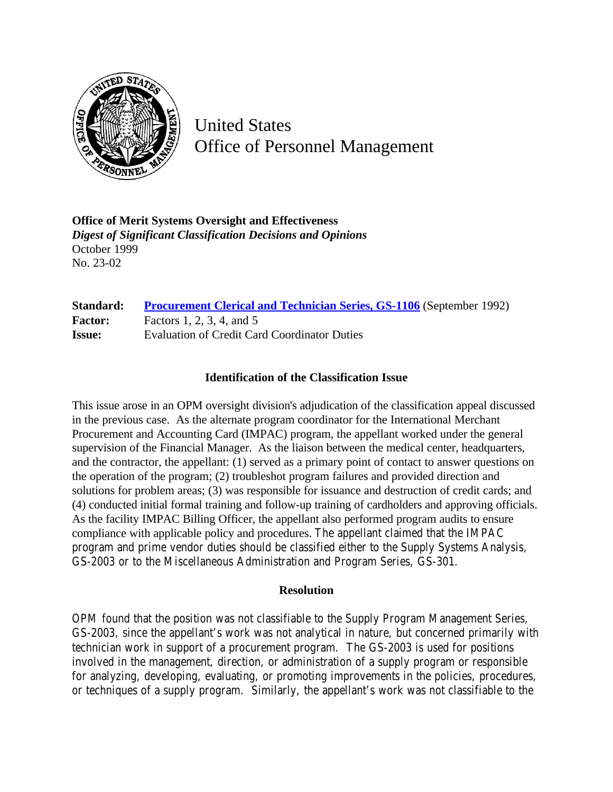

United States Office of Personnel Management

**Office of Merit Systems Oversight and Effectiveness** *Digest of Significant Classification Decisions and Opinions* October 1999 No. 23-02

## **Standard: [Procurement Clerical and Technician Series, GS-1106](http://www.opm.gov/hr/fedclass/gs1106.pdf)** (September 1992) **Factor:** Factors 1, 2, 3, 4, and 5 **Issue:** Evaluation of Credit Card Coordinator Duties

## **Identification of the Classification Issue**

This issue arose in an OPM oversight division's adjudication of the classification appeal discussed in the previous case. As the alternate program coordinator for the International Merchant Procurement and Accounting Card (IMPAC) program, the appellant worked under the general supervision of the Financial Manager. As the liaison between the medical center, headquarters, and the contractor, the appellant: (1) served as a primary point of contact to answer questions on the operation of the program; (2) troubleshot program failures and provided direction and solutions for problem areas; (3) was responsible for issuance and destruction of credit cards; and (4) conducted initial formal training and follow-up training of cardholders and approving officials. As the facility IMPAC Billing Officer, the appellant also performed program audits to ensure compliance with applicable policy and procedures. The appellant claimed that the IMPAC program and prime vendor duties should be classified either to the Supply Systems Analysis, GS-2003 or to the Miscellaneous Administration and Program Series, GS-301.

## **Resolution**

OPM found that the position was not classifiable to the Supply Program Management Series, GS-2003, since the appellant's work was not analytical in nature, but concerned primarily with technician work in support of a procurement program. The GS-2003 is used for positions involved in the management, direction, or administration of a supply program or responsible for analyzing, developing, evaluating, or promoting improvements in the policies, procedures, or techniques of a supply program. Similarly, the appellant's work was not classifiable to the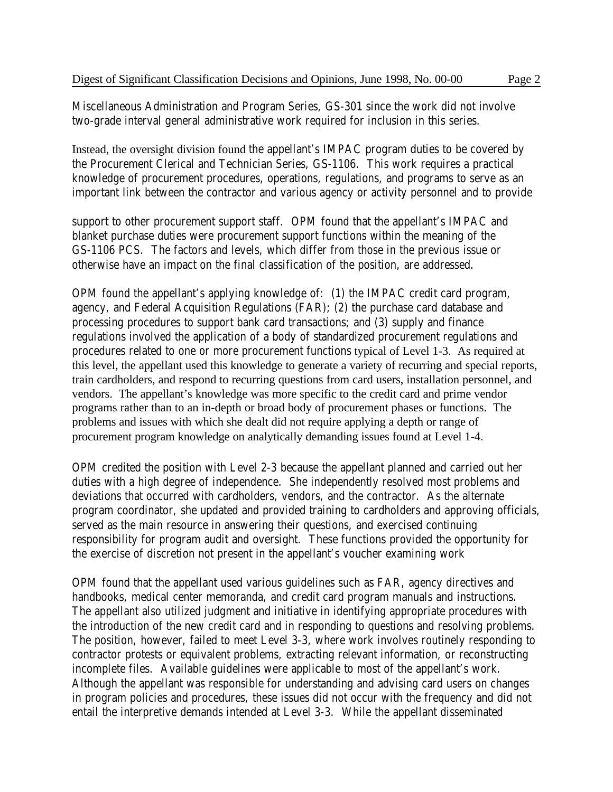Miscellaneous Administration and Program Series, GS-301 since the work did not involve two-grade interval general administrative work required for inclusion in this series.

Instead, the oversight division found the appellant's IMPAC program duties to be covered by the Procurement Clerical and Technician Series, GS-1106. This work requires a practical knowledge of procurement procedures, operations, regulations, and programs to serve as an important link between the contractor and various agency or activity personnel and to provide

support to other procurement support staff. OPM found that the appellant's IMPAC and blanket purchase duties were procurement support functions within the meaning of the GS-1106 PCS. The factors and levels, which differ from those in the previous issue or otherwise have an impact on the final classification of the position, are addressed.

OPM found the appellant's applying knowledge of: (1) the IMPAC credit card program, agency, and Federal Acquisition Regulations (FAR); (2) the purchase card database and processing procedures to support bank card transactions; and (3) supply and finance regulations involved the application of a body of standardized procurement regulations and procedures related to one or more procurement functions typical of Level 1-3. As required at this level, the appellant used this knowledge to generate a variety of recurring and special reports, train cardholders, and respond to recurring questions from card users, installation personnel, and vendors. The appellant's knowledge was more specific to the credit card and prime vendor programs rather than to an in-depth or broad body of procurement phases or functions. The problems and issues with which she dealt did not require applying a depth or range of procurement program knowledge on analytically demanding issues found at Level 1-4.

OPM credited the position with Level 2-3 because the appellant planned and carried out her duties with a high degree of independence. She independently resolved most problems and deviations that occurred with cardholders, vendors, and the contractor. As the alternate program coordinator, she updated and provided training to cardholders and approving officials, served as the main resource in answering their questions, and exercised continuing responsibility for program audit and oversight. These functions provided the opportunity for the exercise of discretion not present in the appellant's voucher examining work

OPM found that the appellant used various guidelines such as FAR, agency directives and handbooks, medical center memoranda, and credit card program manuals and instructions. The appellant also utilized judgment and initiative in identifying appropriate procedures with the introduction of the new credit card and in responding to questions and resolving problems. The position, however, failed to meet Level 3-3, where work involves routinely responding to contractor protests or equivalent problems, extracting relevant information, or reconstructing incomplete files. Available guidelines were applicable to most of the appellant's work. Although the appellant was responsible for understanding and advising card users on changes in program policies and procedures, these issues did not occur with the frequency and did not entail the interpretive demands intended at Level 3-3. While the appellant disseminated